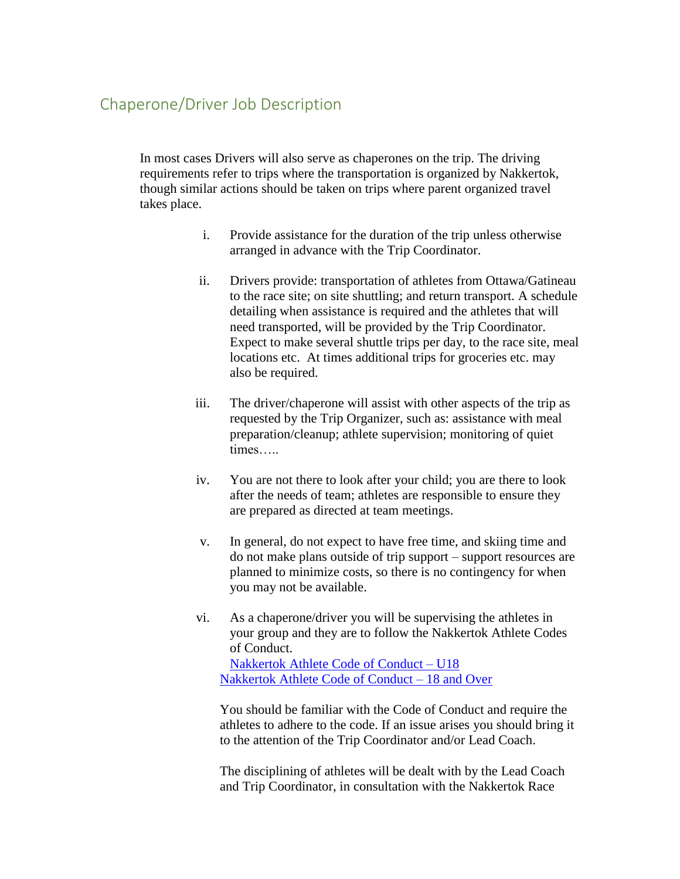## Chaperone/Driver Job Description

In most cases Drivers will also serve as chaperones on the trip. The driving requirements refer to trips where the transportation is organized by Nakkertok, though similar actions should be taken on trips where parent organized travel takes place.

- i. Provide assistance for the duration of the trip unless otherwise arranged in advance with the Trip Coordinator.
- ii. Drivers provide: transportation of athletes from Ottawa/Gatineau to the race site; on site shuttling; and return transport. A schedule detailing when assistance is required and the athletes that will need transported, will be provided by the Trip Coordinator. Expect to make several shuttle trips per day, to the race site, meal locations etc. At times additional trips for groceries etc. may also be required.
- iii. The driver/chaperone will assist with other aspects of the trip as requested by the Trip Organizer, such as: assistance with meal preparation/cleanup; athlete supervision; monitoring of quiet times…..
- iv. You are not there to look after your child; you are there to look after the needs of team; athletes are responsible to ensure they are prepared as directed at team meetings.
- v. In general, do not expect to have free time, and skiing time and do not make plans outside of trip support – support resources are planned to minimize costs, so there is no contingency for when you may not be available.
- vi. As a chaperone/driver you will be supervising the athletes in your group and they are to follow the Nakkertok Athlete Codes of Conduct.

[Nakkertok Athlete Code of Conduct –](https://spreadsheets.google.com/spreadsheet/viewform?formkey=dC1rRThRR012VTBZbWdjQVc2TjAyZ1E6MQ) U18 [Nakkertok Athlete Code of Conduct –](https://spreadsheets.google.com/spreadsheet/viewform?formkey=dDhpeVJoT3VYOEluNGVONWtwZGRKTkE6MQ) 18 and Over

You should be familiar with the Code of Conduct and require the athletes to adhere to the code. If an issue arises you should bring it to the attention of the Trip Coordinator and/or Lead Coach.

The disciplining of athletes will be dealt with by the Lead Coach and Trip Coordinator, in consultation with the Nakkertok Race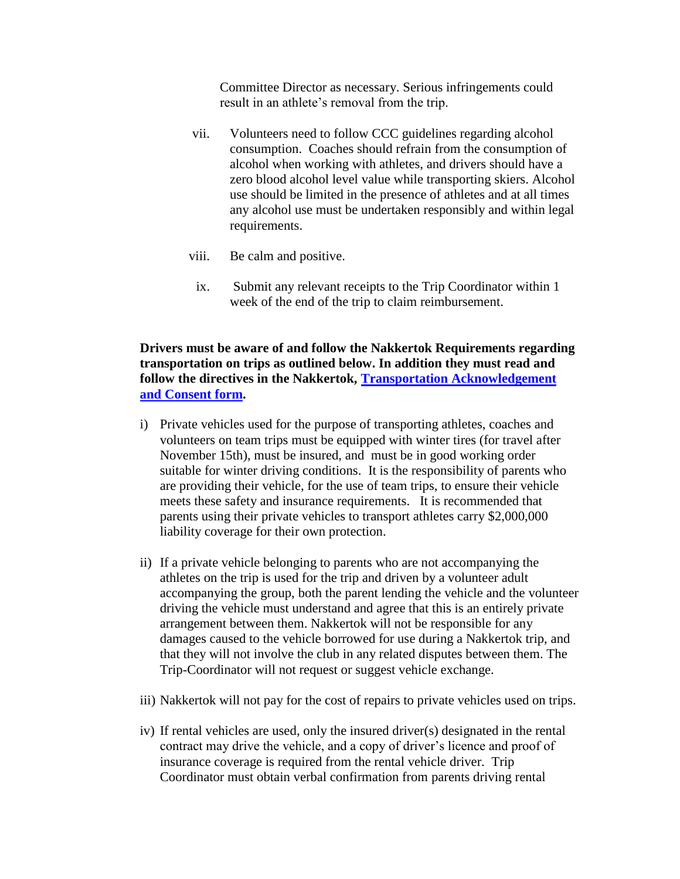Committee Director as necessary. Serious infringements could result in an athlete's removal from the trip.

- vii. Volunteers need to follow CCC guidelines regarding alcohol consumption. Coaches should refrain from the consumption of alcohol when working with athletes, and drivers should have a zero blood alcohol level value while transporting skiers. Alcohol use should be limited in the presence of athletes and at all times any alcohol use must be undertaken responsibly and within legal requirements.
- viii. Be calm and positive.
- ix. Submit any relevant receipts to the Trip Coordinator within 1 week of the end of the trip to claim reimbursement.

**Drivers must be aware of and follow the Nakkertok Requirements regarding transportation on trips as outlined below. In addition they must read and follow the directives in the Nakkertok, [Transportation Acknowledgement](https://spreadsheets.google.com/spreadsheet/viewform?formkey=dGtkd1Noa2NCTV9MZ1FoeEY4ZWZfdGc6MQ)  [and Consent form.](https://spreadsheets.google.com/spreadsheet/viewform?formkey=dGtkd1Noa2NCTV9MZ1FoeEY4ZWZfdGc6MQ)**

- i) Private vehicles used for the purpose of transporting athletes, coaches and volunteers on team trips must be equipped with winter tires (for travel after November 15th), must be insured, and must be in good working order suitable for winter driving conditions. It is the responsibility of parents who are providing their vehicle, for the use of team trips, to ensure their vehicle meets these safety and insurance requirements. It is recommended that parents using their private vehicles to transport athletes carry \$2,000,000 liability coverage for their own protection.
- ii) If a private vehicle belonging to parents who are not accompanying the athletes on the trip is used for the trip and driven by a volunteer adult accompanying the group, both the parent lending the vehicle and the volunteer driving the vehicle must understand and agree that this is an entirely private arrangement between them. Nakkertok will not be responsible for any damages caused to the vehicle borrowed for use during a Nakkertok trip, and that they will not involve the club in any related disputes between them. The Trip-Coordinator will not request or suggest vehicle exchange.
- iii) Nakkertok will not pay for the cost of repairs to private vehicles used on trips.
- iv) If rental vehicles are used, only the insured driver(s) designated in the rental contract may drive the vehicle, and a copy of driver's licence and proof of insurance coverage is required from the rental vehicle driver. Trip Coordinator must obtain verbal confirmation from parents driving rental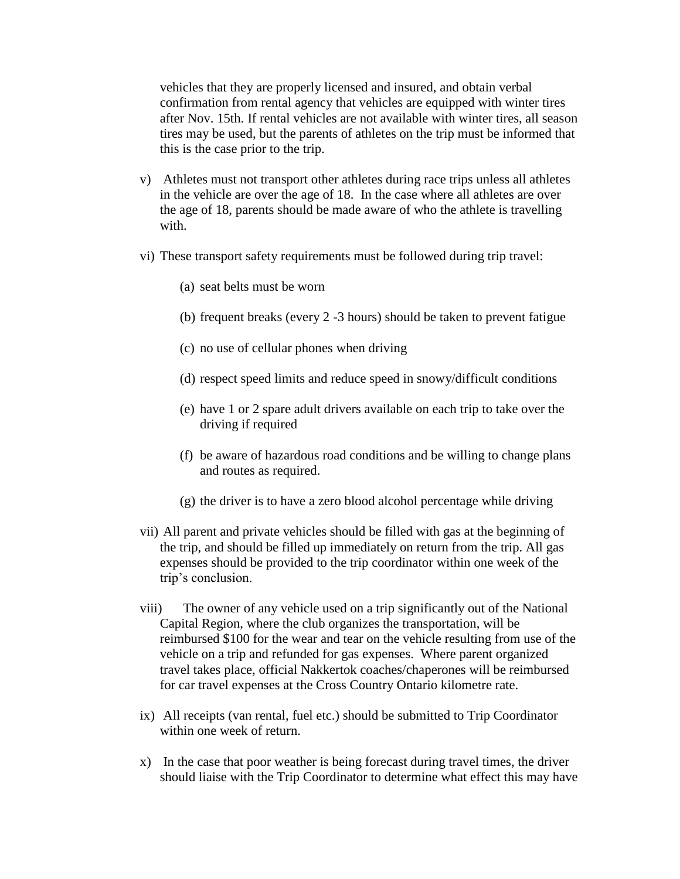vehicles that they are properly licensed and insured, and obtain verbal confirmation from rental agency that vehicles are equipped with winter tires after Nov. 15th. If rental vehicles are not available with winter tires, all season tires may be used, but the parents of athletes on the trip must be informed that this is the case prior to the trip.

- v) Athletes must not transport other athletes during race trips unless all athletes in the vehicle are over the age of 18. In the case where all athletes are over the age of 18, parents should be made aware of who the athlete is travelling with.
- vi) These transport safety requirements must be followed during trip travel:
	- (a) seat belts must be worn
	- (b) frequent breaks (every 2 -3 hours) should be taken to prevent fatigue
	- (c) no use of cellular phones when driving
	- (d) respect speed limits and reduce speed in snowy/difficult conditions
	- (e) have 1 or 2 spare adult drivers available on each trip to take over the driving if required
	- (f) be aware of hazardous road conditions and be willing to change plans and routes as required.
	- (g) the driver is to have a zero blood alcohol percentage while driving
- vii) All parent and private vehicles should be filled with gas at the beginning of the trip, and should be filled up immediately on return from the trip. All gas expenses should be provided to the trip coordinator within one week of the trip's conclusion.
- viii) The owner of any vehicle used on a trip significantly out of the National Capital Region, where the club organizes the transportation, will be reimbursed \$100 for the wear and tear on the vehicle resulting from use of the vehicle on a trip and refunded for gas expenses. Where parent organized travel takes place, official Nakkertok coaches/chaperones will be reimbursed for car travel expenses at the Cross Country Ontario kilometre rate.
- ix) All receipts (van rental, fuel etc.) should be submitted to Trip Coordinator within one week of return.
- x) In the case that poor weather is being forecast during travel times, the driver should liaise with the Trip Coordinator to determine what effect this may have